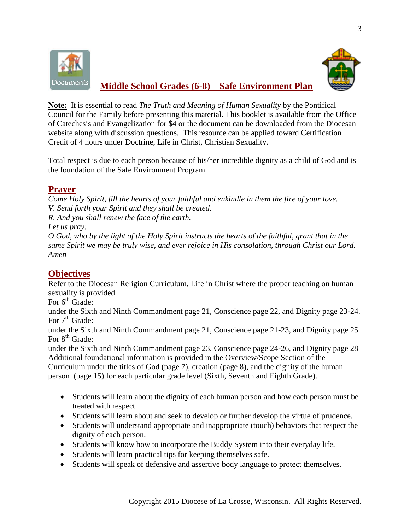



## **Middle School Grades (6-8) – Safe Environment Plan**

**Note:** It is essential to read *The Truth and Meaning of Human Sexuality* by the Pontifical Council for the Family before presenting this material. This booklet is available from the Office of Catechesis and Evangelization for \$4 or the document can be downloaded from the Diocesan website along with discussion questions. This resource can be applied toward Certification Credit of 4 hours under Doctrine, Life in Christ, Christian Sexuality.

Total respect is due to each person because of his/her incredible dignity as a child of God and is the foundation of the Safe Environment Program.

## **Prayer**

*Come Holy Spirit, fill the hearts of your faithful and enkindle in them the fire of your love. V. Send forth your Spirit and they shall be created.*

*R. And you shall renew the face of the earth.*

*Let us pray:*

*O God, who by the light of the Holy Spirit instructs the hearts of the faithful, grant that in the same Spirit we may be truly wise, and ever rejoice in His consolation, through Christ our Lord. Amen*

# **Objectives**

Refer to the Diocesan Religion Curriculum, Life in Christ where the proper teaching on human sexuality is provided

For  $6<sup>th</sup>$  Grade:

under the Sixth and Ninth Commandment page 21, Conscience page 22, and Dignity page 23-24. For  $7<sup>th</sup>$  Grade:

under the Sixth and Ninth Commandment page 21, Conscience page 21-23, and Dignity page 25 For  $8<sup>th</sup>$  Grade:

under the Sixth and Ninth Commandment page 23, Conscience page 24-26, and Dignity page 28 Additional foundational information is provided in the Overview/Scope Section of the Curriculum under the titles of God (page 7), creation (page 8), and the dignity of the human person (page 15) for each particular grade level (Sixth, Seventh and Eighth Grade).

- Students will learn about the dignity of each human person and how each person must be treated with respect.
- Students will learn about and seek to develop or further develop the virtue of prudence.
- Students will understand appropriate and inappropriate (touch) behaviors that respect the dignity of each person.
- Students will know how to incorporate the Buddy System into their everyday life.
- Students will learn practical tips for keeping themselves safe.
- Students will speak of defensive and assertive body language to protect themselves.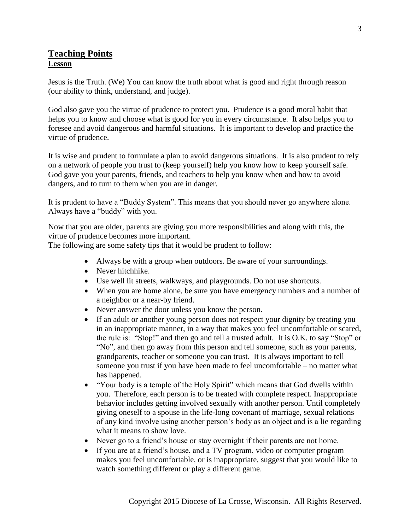### **Teaching Points Lesson**

Jesus is the Truth. (We) You can know the truth about what is good and right through reason (our ability to think, understand, and judge).

God also gave you the virtue of prudence to protect you. Prudence is a good moral habit that helps you to know and choose what is good for you in every circumstance. It also helps you to foresee and avoid dangerous and harmful situations. It is important to develop and practice the virtue of prudence.

It is wise and prudent to formulate a plan to avoid dangerous situations. It is also prudent to rely on a network of people you trust to (keep yourself) help you know how to keep yourself safe. God gave you your parents, friends, and teachers to help you know when and how to avoid dangers, and to turn to them when you are in danger.

It is prudent to have a "Buddy System". This means that you should never go anywhere alone. Always have a "buddy" with you.

Now that you are older, parents are giving you more responsibilities and along with this, the virtue of prudence becomes more important.

The following are some safety tips that it would be prudent to follow:

- Always be with a group when outdoors. Be aware of your surroundings.
- Never hitchhike.
- Use well lit streets, walkways, and playgrounds. Do not use shortcuts.
- When you are home alone, be sure you have emergency numbers and a number of a neighbor or a near-by friend.
- Never answer the door unless you know the person.
- If an adult or another young person does not respect your dignity by treating you in an inappropriate manner, in a way that makes you feel uncomfortable or scared, the rule is: "Stop!" and then go and tell a trusted adult. It is O.K. to say "Stop" or "No", and then go away from this person and tell someone, such as your parents, grandparents, teacher or someone you can trust. It is always important to tell someone you trust if you have been made to feel uncomfortable – no matter what has happened.
- "Your body is a temple of the Holy Spirit" which means that God dwells within you. Therefore, each person is to be treated with complete respect. Inappropriate behavior includes getting involved sexually with another person. Until completely giving oneself to a spouse in the life-long covenant of marriage, sexual relations of any kind involve using another person's body as an object and is a lie regarding what it means to show love.
- Never go to a friend's house or stay overnight if their parents are not home.
- If you are at a friend's house, and a TV program, video or computer program makes you feel uncomfortable, or is inappropriate, suggest that you would like to watch something different or play a different game.